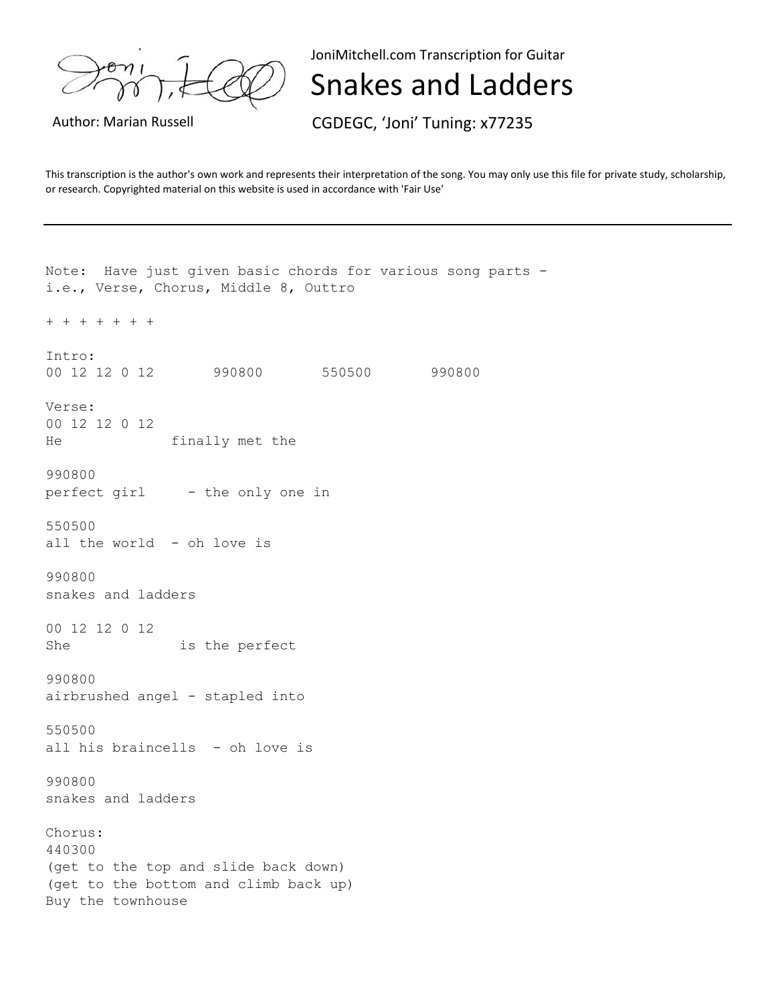JoniMitchell.com Transcription for Guitar

Snakes and Ladders

Author: Marian Russell **CGDEGC, 'Joni' Tuning: x77235** 

This transcription is the author's own work and represents their interpretation of the song. You may only use this file for private study, scholarship, or research. Copyrighted material on this website is used in accordance with 'Fair Use'

Note: Have just given basic chords for various song parts i.e., Verse, Chorus, Middle 8, Outtro + + + + + + + Intro: 00 12 12 0 12 990800 550500 990800 Verse: 00 12 12 0 12 He finally met the 990800 perfect girl - the only one in 550500 all the world - oh love is 990800 snakes and ladders 00 12 12 0 12 She is the perfect 990800 airbrushed angel - stapled into 550500 all his braincells - oh love is 990800 snakes and ladders Chorus: 440300 (get to the top and slide back down) (get to the bottom and climb back up) Buy the townhouse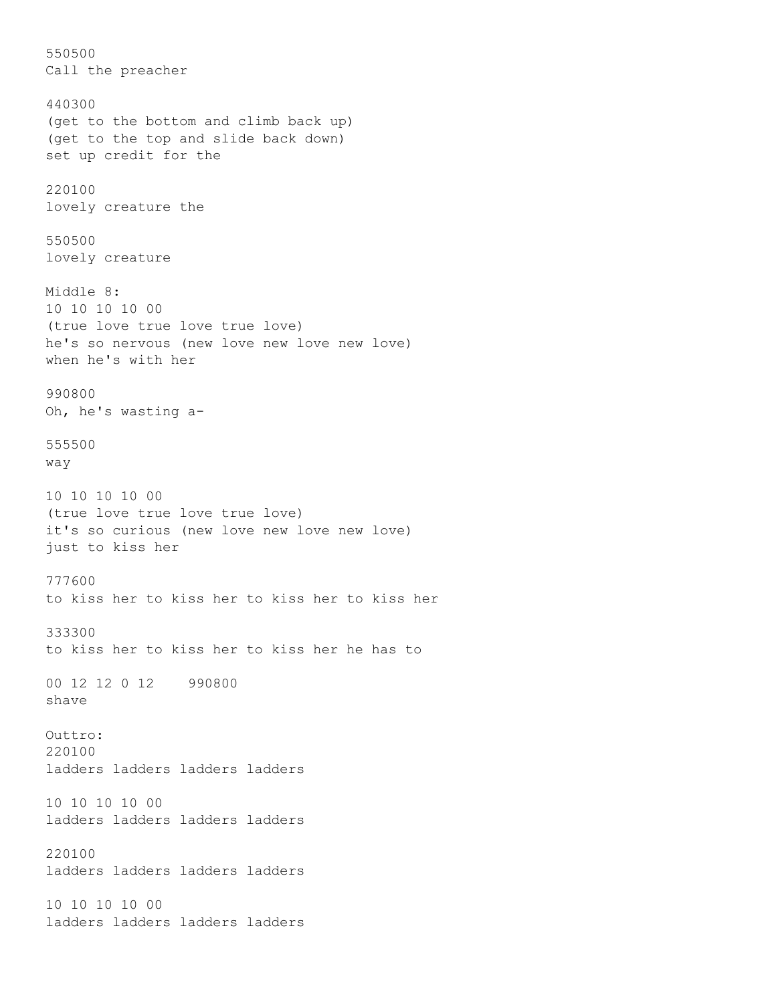550500 Call the preacher 440300 (get to the bottom and climb back up) (get to the top and slide back down) set up credit for the 220100 lovely creature the 550500 lovely creature Middle 8: 10 10 10 10 00 (true love true love true love) he's so nervous (new love new love new love) when he's with her 990800 Oh, he's wasting a-555500 way 10 10 10 10 00 (true love true love true love) it's so curious (new love new love new love) just to kiss her 777600 to kiss her to kiss her to kiss her to kiss her 333300 to kiss her to kiss her to kiss her he has to 00 12 12 0 12 990800 shave Outtro: 220100 ladders ladders ladders ladders 10 10 10 10 00 ladders ladders ladders ladders 220100 ladders ladders ladders ladders 10 10 10 10 00 ladders ladders ladders ladders